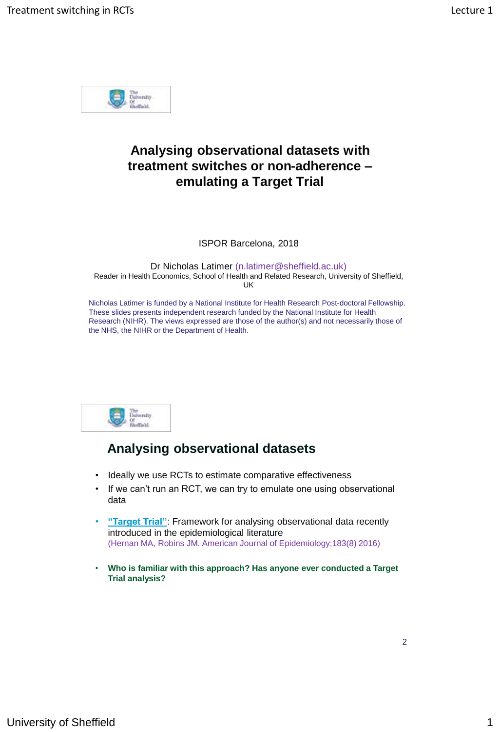

# **Analysing observational datasets with treatment switches or non-adherence – emulating a Target Trial**

ISPOR Barcelona, 2018

Dr Nicholas Latimer (n.latimer@sheffield.ac.uk) Reader in Health Economics, School of Health and Related Research, University of Sheffield, UK

Nicholas Latimer is funded by a National Institute for Health Research Post-doctoral Fellowship. These slides presents independent research funded by the National Institute for Health Research (NIHR). The views expressed are those of the author(s) and not necessarily those of the NHS, the NIHR or the Department of Health.



#### **Analysing observational datasets**

- Ideally we use RCTs to estimate comparative effectiveness
- If we can't run an RCT, we can try to emulate one using observational data
- **"Target Trial"**: Framework for analysing observational data recently introduced in the epidemiological literature (Hernan MA, Robins JM. American Journal of Epidemiology;183(8) 2016)
- **Who is familiar with this approach? Has anyone ever conducted a Target Trial analysis?**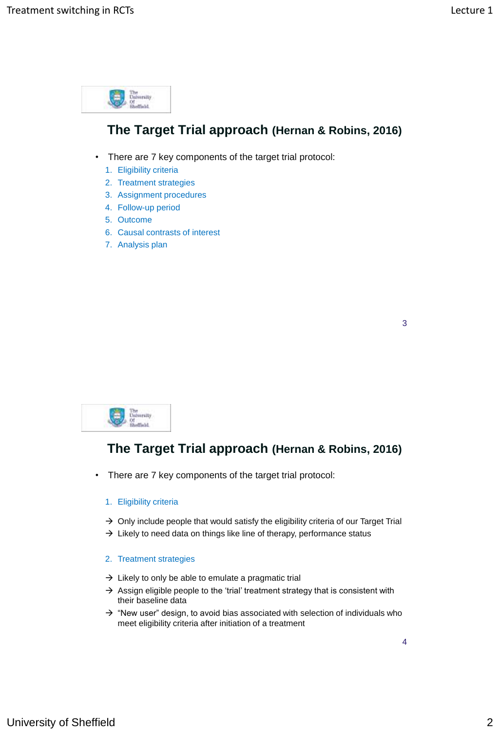

### **The Target Trial approach (Hernan & Robins, 2016)**

- There are 7 key components of the target trial protocol:
	- 1. Eligibility criteria
	- 2. Treatment strategies
	- 3. Assignment procedures
	- 4. Follow-up period
	- 5. Outcome
	- 6. Causal contrasts of interest
	- 7. Analysis plan

| ۰            |  |
|--------------|--|
| ۰.<br>w<br>× |  |



#### **The Target Trial approach (Hernan & Robins, 2016)**

• There are 7 key components of the target trial protocol:

#### 1. Eligibility criteria

- $\rightarrow$  Only include people that would satisfy the eligibility criteria of our Target Trial
- $\rightarrow$  Likely to need data on things like line of therapy, performance status
- 2. Treatment strategies
- $\rightarrow$  Likely to only be able to emulate a pragmatic trial
- $\rightarrow$  Assign eligible people to the 'trial' treatment strategy that is consistent with their baseline data
- $\rightarrow$  "New user" design, to avoid bias associated with selection of individuals who meet eligibility criteria after initiation of a treatment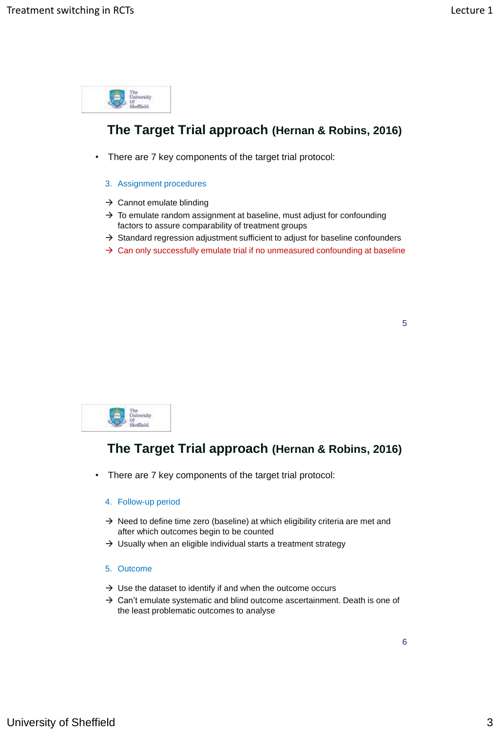

### **The Target Trial approach (Hernan & Robins, 2016)**

- There are 7 key components of the target trial protocol:
	- 3. Assignment procedures
	- $\rightarrow$  Cannot emulate blinding
	- $\rightarrow$  To emulate random assignment at baseline, must adjust for confounding factors to assure comparability of treatment groups
	- $\rightarrow$  Standard regression adjustment sufficient to adjust for baseline confounders
	- $\rightarrow$  Can only successfully emulate trial if no unmeasured confounding at baseline



# **The Target Trial approach (Hernan & Robins, 2016)**

• There are 7 key components of the target trial protocol:

#### 4. Follow-up period

- $\rightarrow$  Need to define time zero (baseline) at which eligibility criteria are met and after which outcomes begin to be counted
- $\rightarrow$  Usually when an eligible individual starts a treatment strategy
- 5. Outcome
- $\rightarrow$  Use the dataset to identify if and when the outcome occurs
- $\rightarrow$  Can't emulate systematic and blind outcome ascertainment. Death is one of the least problematic outcomes to analyse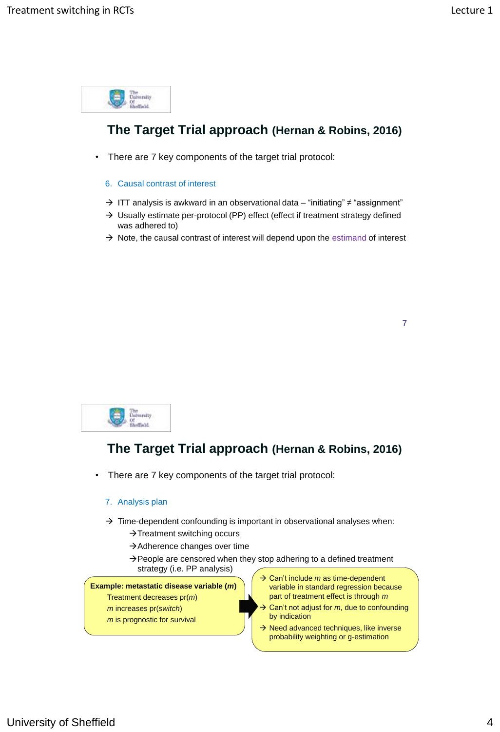

# **The Target Trial approach (Hernan & Robins, 2016)**

- There are 7 key components of the target trial protocol:
	- 6. Causal contrast of interest
	- ITT analysis is awkward in an observational data "initiating" ≠ "assignment"
	- $\rightarrow$  Usually estimate per-protocol (PP) effect (effect if treatment strategy defined was adhered to)
	- $\rightarrow$  Note, the causal contrast of interest will depend upon the estimand of interest



# **The Target Trial approach (Hernan & Robins, 2016)**

• There are 7 key components of the target trial protocol:

#### 7. Analysis plan

- $\rightarrow$  Time-dependent confounding is important in observational analyses when:
	- $\rightarrow$  Treatment switching occurs
	- $\rightarrow$  Adherence changes over time
	- $\rightarrow$  People are censored when they stop adhering to a defined treatment strategy (i.e. PP analysis)

#### **Example: metastatic disease variable (***m***)**

Treatment decreases pr(*m*)

- *m* increases pr(*switch*) *m* is prognostic for survival
- **→ Can't include m as time-dependent** variable in standard regression because part of treatment effect is through *m*
- Can't not adjust for *m*, due to confounding by indication
- $\rightarrow$  Need advanced techniques, like inverse probability weighting or g-estimation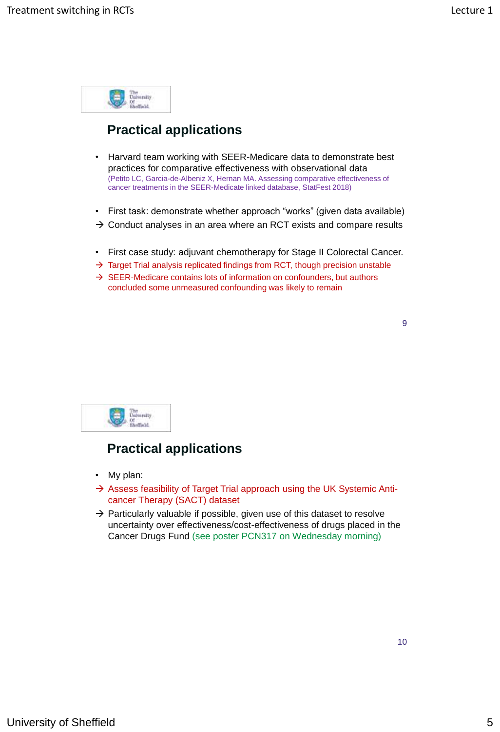

# **Practical applications**

- Harvard team working with SEER-Medicare data to demonstrate best practices for comparative effectiveness with observational data (Petito LC, Garcia-de-Albeniz X, Hernan MA. Assessing comparative effectiveness of cancer treatments in the SEER-Medicate linked database, StatFest 2018)
- First task: demonstrate whether approach "works" (given data available)
- $\rightarrow$  Conduct analyses in an area where an RCT exists and compare results
- First case study: adjuvant chemotherapy for Stage II Colorectal Cancer.
- $\rightarrow$  Target Trial analysis replicated findings from RCT, though precision unstable
- $\rightarrow$  SEER-Medicare contains lots of information on confounders, but authors concluded some unmeasured confounding was likely to remain



#### **Practical applications**

- My plan:
- $\rightarrow$  Assess feasibility of Target Trial approach using the UK Systemic Anticancer Therapy (SACT) dataset
- $\rightarrow$  Particularly valuable if possible, given use of this dataset to resolve uncertainty over effectiveness/cost-effectiveness of drugs placed in the Cancer Drugs Fund (see poster PCN317 on Wednesday morning)